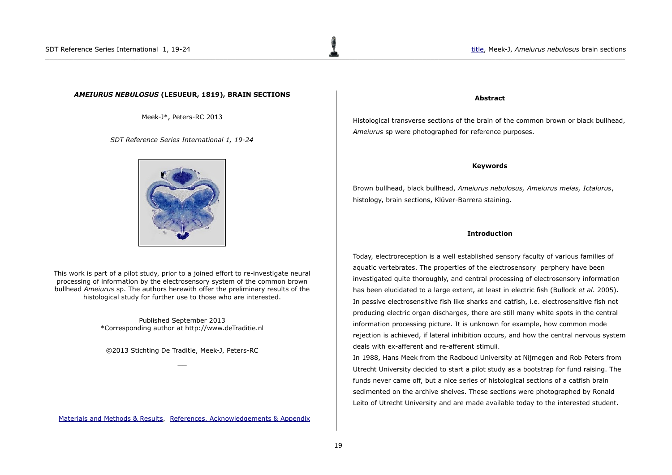# <span id="page-0-0"></span>*AMEIURUS NEBULOSUS* **(LESUEUR, 1819), BRAIN SECTIONS**

Meek-J\*, Peters-RC 2013

*SDT Reference Series International 1, 19-24*



This work is part of a pilot study, prior to a joined effort to re-investigate neural processing of information by the electrosensory system of the common brown bullhead *Ameiurus* sp. The authors herewith offer the preliminary results of the histological study for further use to those who are interested.

> Published September 2013 \*Corresponding author at http://www.deTraditie.nl

©2013 Stichting De Traditie, Meek-J, Peters-RC **\_\_**

[Materials and Methods & Results,](#page-1-1) References, Acknowledgements & Appendix

### **Abstract**

Histological transverse sections of the brain of the common brown or black bullhead, *Ameiurus* sp were photographed for reference purposes.

#### **Keywords**

Brown bullhead, black bullhead, *Ameiurus nebulosus, Ameiurus melas, Ictalurus*, histology, brain sections, Klüver-Barrera staining.

#### **Introduction**

Today, electroreception is a well established sensory faculty of various families of aquatic vertebrates. The properties of the electrosensory perphery have been investigated quite thoroughly, and central processing of electrosensory information has been elucidated to a large extent, at least in electric fish (Bullock *et al*. 2005). In passive electrosensitive fish like sharks and catfish, i.e. electrosensitive fish not producing electric organ discharges, there are still many white spots in the central information processing picture. It is unknown for example, how common mode rejection is achieved, if lateral inhibition occurs, and how the central nervous system deals with ex-afferent and re-afferent stimuli.

In 1988, Hans Meek from the Radboud University at Nijmegen and Rob Peters from Utrecht University decided to start a pilot study as a bootstrap for fund raising. The funds never came off, but a nice series of histological sections of a catfish brain sedimented on the archive shelves. These sections were photographed by Ronald Leito of Utrecht University and are made available today to the interested student.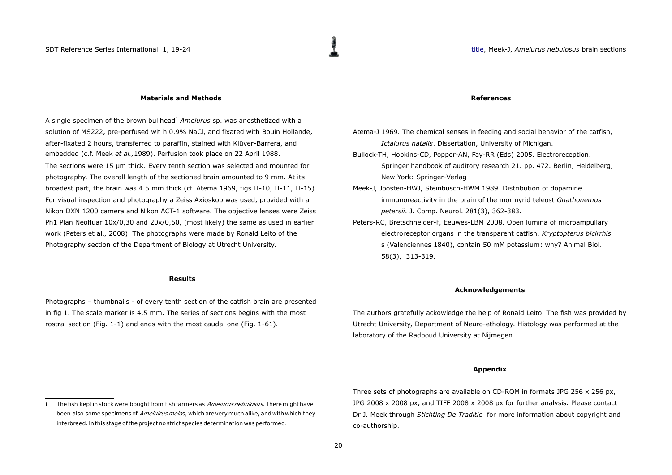#### <span id="page-1-1"></span>**Materials and Methods**

A single specimen of the brown bullhead[1](#page-1-2) *Ameiurus* sp. was anesthetized with a solution of MS222, pre-perfused wit h 0.9% NaCl, and fixated with Bouin Hollande, after-fixated 2 hours, transferred to paraffin, stained with Klüver-Barrera, and embedded (c.f. Meek *et al.,*1989). Perfusion took place on 22 April 1988. The sections were 15 µm thick. Every tenth section was selected and mounted for photography. The overall length of the sectioned brain amounted to 9 mm. At its broadest part, the brain was 4.5 mm thick (cf. Atema 1969, figs II-10, II-11, II-15). For visual inspection and photography a Zeiss Axioskop was used, provided with a Nikon DXN 1200 camera and Nikon ACT-1 software. The objective lenses were Zeiss Ph1 Plan Neofluar 10x/0,30 and 20x/0,50, (most likely) the same as used in earlier work (Peters et al., 2008). The photographs were made by Ronald Leito of the Photography section of the Department of Biology at Utrecht University.

## **Results**

Photographs – thumbnails - of every tenth section of the catfish brain are presented in fig 1. The scale marker is 4.5 mm. The series of sections begins with the most rostral section (Fig. 1-1) and ends with the most caudal one (Fig. 1-61).

#### <span id="page-1-0"></span>**References**

- Atema-J 1969. The chemical senses in feeding and social behavior of the catfish, *Ictalurus natalis*. Dissertation, University of Michigan.
- Bullock-TH, Hopkins-CD, Popper-AN, Fay-RR (Eds) 2005. Electroreception. Springer handbook of auditory research 21. pp. 472. Berlin, Heidelberg, New York: Springer-Verlag
- Meek-J, Joosten-HWJ, Steinbusch-HWM 1989. Distribution of dopamine immunoreactivity in the brain of the mormyrid teleost *Gnathonemus petersii*. J. Comp. Neurol. 281(3), 362-383.
- Peters-RC, Bretschneider-F, Eeuwes-LBM 2008. Open lumina of microampullary electroreceptor organs in the transparent catfish, *Kryptopterus bicirrhis* s (Valenciennes 1840), contain 50 mM potassium: why? Animal Biol. 58(3), 313-319.

#### **Acknowledgements**

The authors gratefully ackowledge the help of Ronald Leito. The fish was provided by Utrecht University, Department of Neuro-ethology. Histology was performed at the laboratory of the Radboud University at Nijmegen.

#### **Appendix**

Three sets of photographs are available on CD-ROM in formats JPG 256  $\times$  256 px, JPG 2008  $\times$  2008 px, and TIFF 2008  $\times$  2008 px for further analysis. Please contact Dr J. Meek through *Stichting De Traditie* for more information about copyright and co-authorship.

<span id="page-1-2"></span>The fish kept in stock were bought from fish farmers as Amejurus nebulosus. There might have been also some specimens of Ameiuirus melas, which are very much alike, and with which they interbreed. In this stage of the project no strict species determination was performed.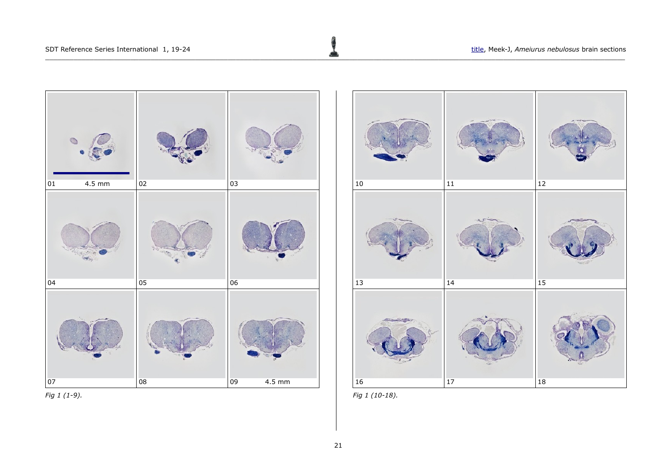





*Fig 1 (10-18).*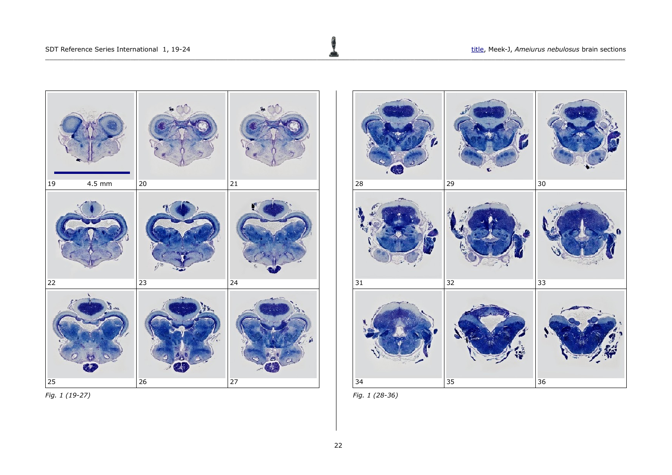

*Fig. 1 (19-27)*



*Fig. 1 (28-36)*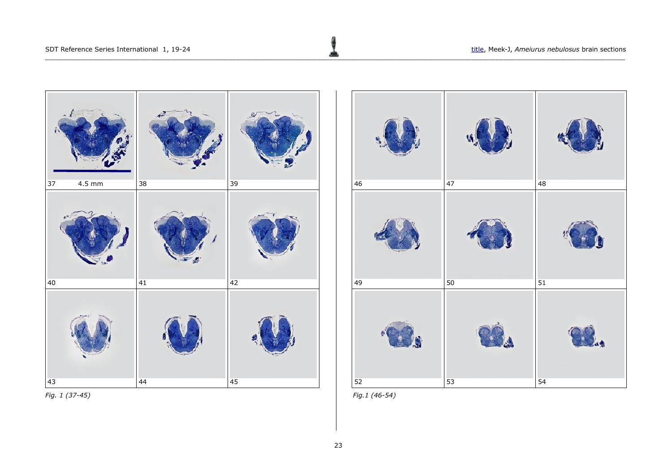